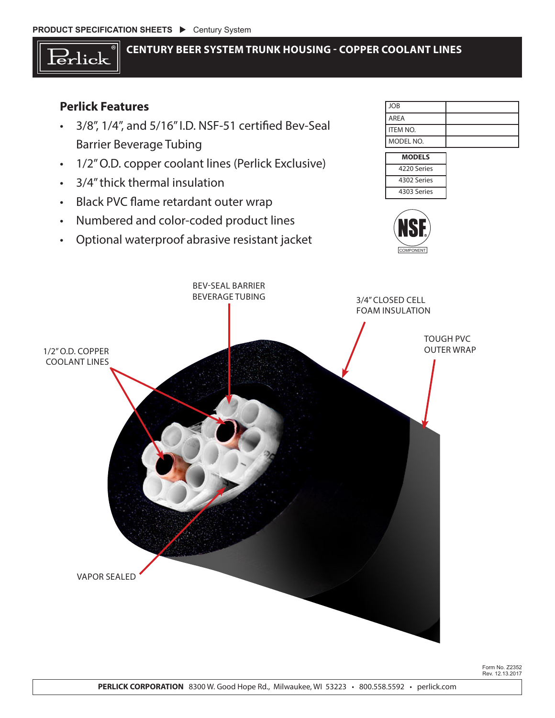

## **CENTURY BEER SYSTEM TRUNK HOUSING - COPPER COOLANT LINES**

# **Perlick Features**

- • 3/8", 1/4", and 5/16"I.D. NSF-51 certified Bev-Seal Barrier Beverage Tubing
- • 1/2"O.D. copper coolant lines (Perlick Exclusive)
- • 3/4"thick thermal insulation
- • Black PVC flame retardant outer wrap
- • Numbered and color-coded product lines
- • Optional waterproof abrasive resistant jacket

| <b>JOB</b>        |  |
|-------------------|--|
| l AREA            |  |
| <b>I</b> ITEM NO. |  |
| MODEL NO.         |  |







Form No. Z2352 Rev. 12.13.2017